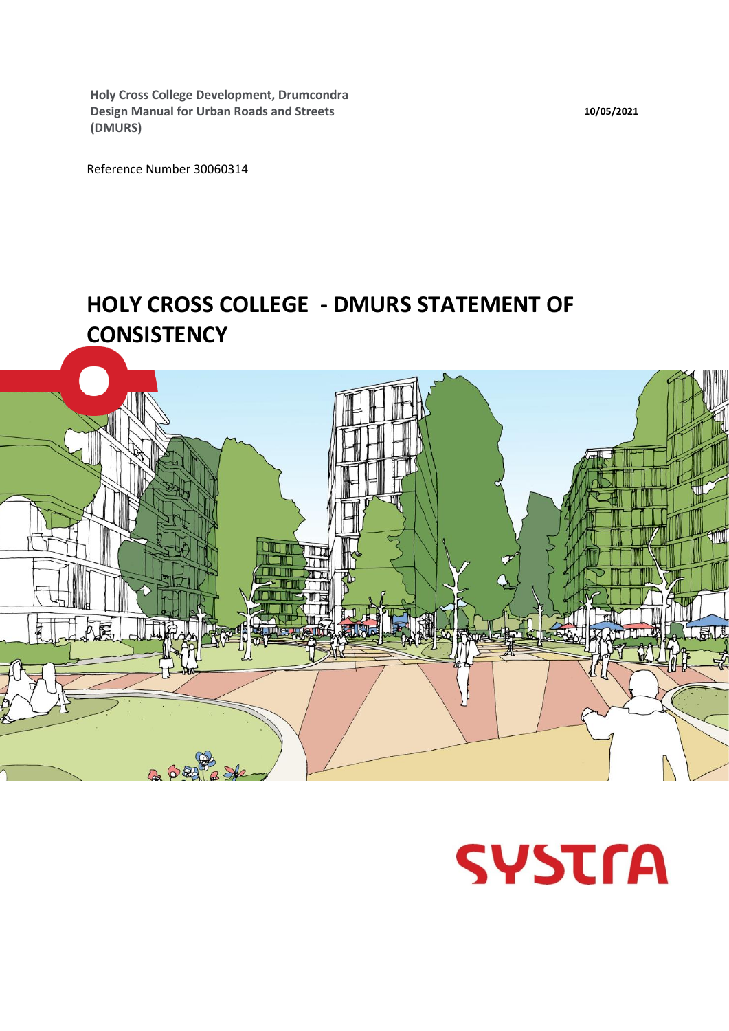**Holy Cross College Development, Drumcondra Design Manual for Urban Roads and Streets (DMURS)**

Reference Number 30060314

# **HOLY CROSS COLLEGE - DMURS STATEMENT OF CONSISTENCY**





**10/05/2021**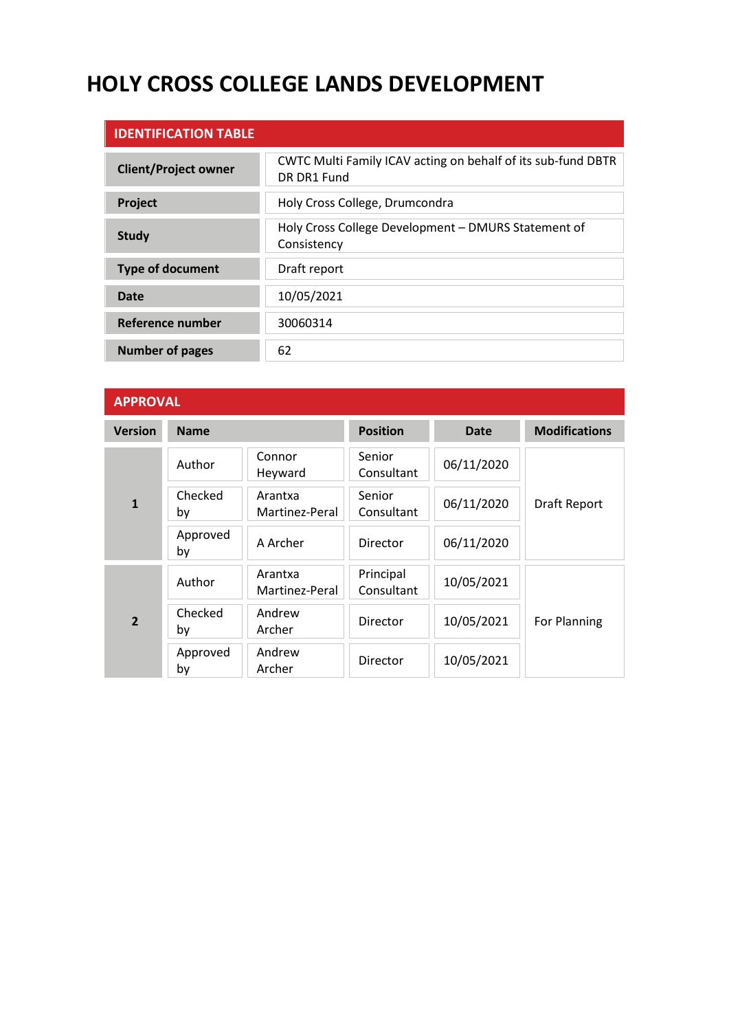# **HOLY CROSS COLLEGE LANDS DEVELOPMENT**

| <b>IDENTIFICATION TABLE</b> |                                                                             |
|-----------------------------|-----------------------------------------------------------------------------|
| <b>Client/Project owner</b> | CWTC Multi Family ICAV acting on behalf of its sub-fund DBTR<br>DR DR1 Fund |
| Project                     | Holy Cross College, Drumcondra                                              |
| <b>Study</b>                | Holy Cross College Development - DMURS Statement of<br>Consistency          |
| <b>Type of document</b>     | Draft report                                                                |
| Date                        | 10/05/2021                                                                  |
| Reference number            | 30060314                                                                    |
| <b>Number of pages</b>      | 62                                                                          |

| <b>APPROVAL</b> |                                            |                           |                         |             |                      |  |
|-----------------|--------------------------------------------|---------------------------|-------------------------|-------------|----------------------|--|
| <b>Version</b>  | <b>Name</b>                                |                           | <b>Position</b>         | <b>Date</b> | <b>Modifications</b> |  |
|                 | Author                                     | Connor<br>Heyward         | Senior<br>Consultant    | 06/11/2020  |                      |  |
| $\mathbf{1}$    | Checked<br>Arantxa<br>Martinez-Peral<br>by |                           | Senior<br>Consultant    | 06/11/2020  | Draft Report         |  |
|                 | Approved<br>by                             | A Archer                  | Director                | 06/11/2020  |                      |  |
|                 | Author                                     | Arantxa<br>Martinez-Peral | Principal<br>Consultant | 10/05/2021  |                      |  |
| $\overline{2}$  | Checked<br>by                              | Andrew<br>Archer          | Director                | 10/05/2021  | For Planning         |  |
|                 | Approved<br>by                             | Andrew<br>Archer          | Director                | 10/05/2021  |                      |  |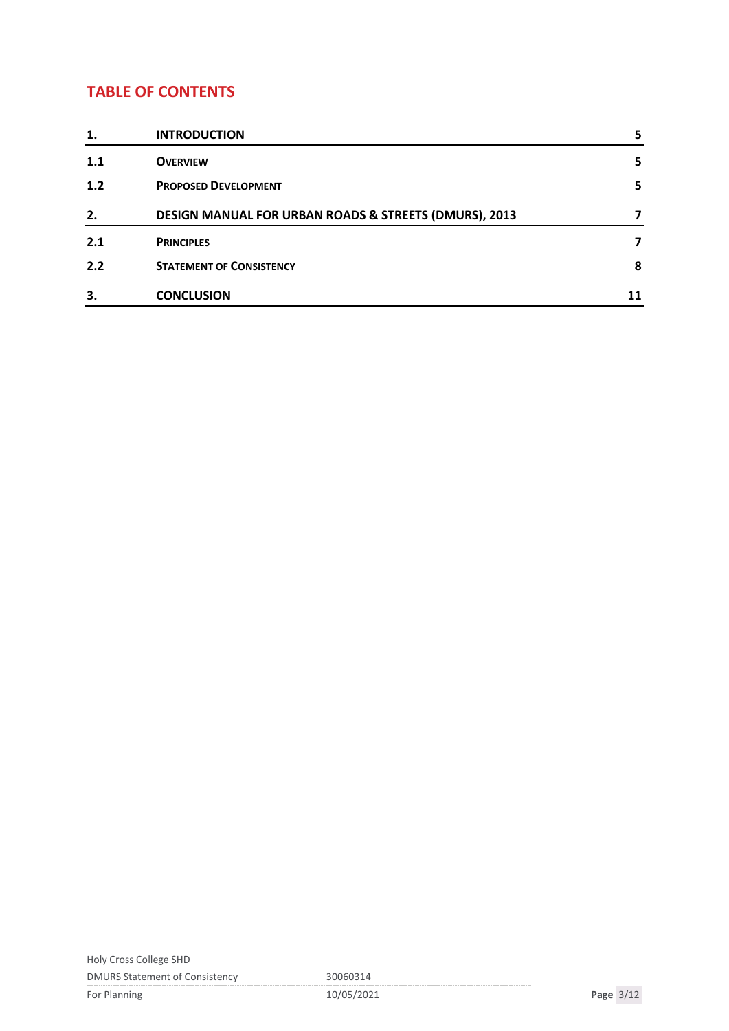### **TABLE OF CONTENTS**

| 1.  | <b>INTRODUCTION</b>                                   | 5 |
|-----|-------------------------------------------------------|---|
| 1.1 | <b>OVERVIEW</b>                                       | 5 |
| 1.2 | <b>PROPOSED DEVELOPMENT</b>                           | 5 |
| 2.  | DESIGN MANUAL FOR URBAN ROADS & STREETS (DMURS), 2013 |   |
| 2.1 | <b>PRINCIPLES</b>                                     |   |
| 2.2 | <b>STATEMENT OF CONSISTENCY</b>                       | 8 |
| 3.  | <b>CONCLUSION</b>                                     |   |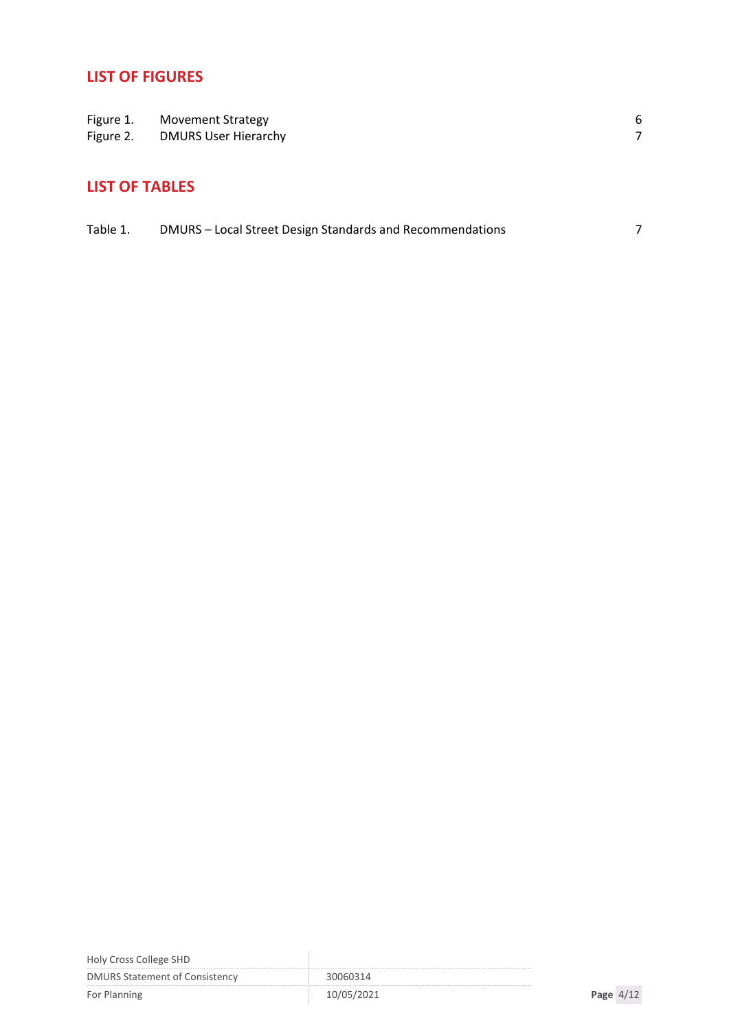## **LIST OF FIGURES**

|           | Figure 1. Movement Strategy |  |
|-----------|-----------------------------|--|
| Figure 2. | <b>DMURS User Hierarchy</b> |  |

### **LIST OF TABLES**

| Table 1. | DMURS - Local Street Design Standards and Recommendations |  |
|----------|-----------------------------------------------------------|--|
|----------|-----------------------------------------------------------|--|

| Holy Cross College SHD                |            |             |
|---------------------------------------|------------|-------------|
| <b>DMURS Statement of Consistency</b> | 30060314   |             |
| For Planning                          | 10/05/2021 | Page $4/12$ |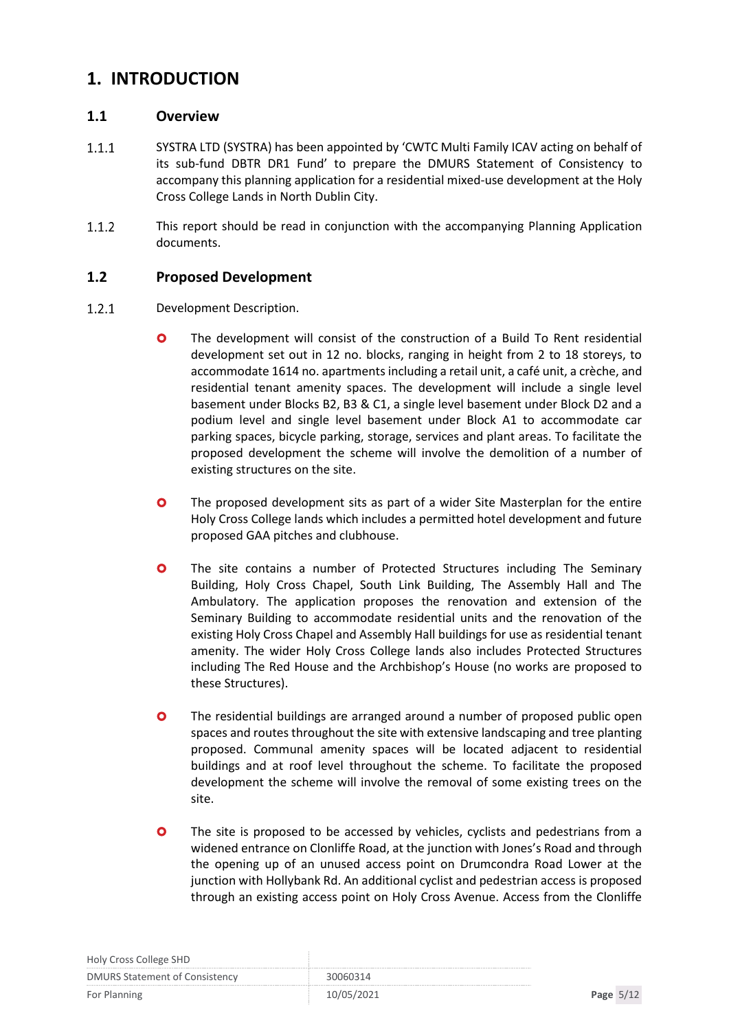### <span id="page-4-0"></span>**1. INTRODUCTION**

#### <span id="page-4-1"></span>**1.1 Overview**

- $1.1.1$ SYSTRA LTD (SYSTRA) has been appointed by 'CWTC Multi Family ICAV acting on behalf of its sub-fund DBTR DR1 Fund' to prepare the DMURS Statement of Consistency to accompany this planning application for a residential mixed-use development at the Holy Cross College Lands in North Dublin City.
- $1.1.2$ This report should be read in conjunction with the accompanying Planning Application documents.

#### <span id="page-4-2"></span>**1.2 Proposed Development**

- $1.2.1$ Development Description.
	- The development will consist of the construction of a Build To Rent residential development set out in 12 no. blocks, ranging in height from 2 to 18 storeys, to accommodate 1614 no. apartments including a retail unit, a café unit, a crèche, and residential tenant amenity spaces. The development will include a single level basement under Blocks B2, B3 & C1, a single level basement under Block D2 and a podium level and single level basement under Block A1 to accommodate car parking spaces, bicycle parking, storage, services and plant areas. To facilitate the proposed development the scheme will involve the demolition of a number of existing structures on the site.
	- **O** The proposed development sits as part of a wider Site Masterplan for the entire Holy Cross College lands which includes a permitted hotel development and future proposed GAA pitches and clubhouse.
	- **O** The site contains a number of Protected Structures including The Seminary Building, Holy Cross Chapel, South Link Building, The Assembly Hall and The Ambulatory. The application proposes the renovation and extension of the Seminary Building to accommodate residential units and the renovation of the existing Holy Cross Chapel and Assembly Hall buildings for use as residential tenant amenity. The wider Holy Cross College lands also includes Protected Structures including The Red House and the Archbishop's House (no works are proposed to these Structures).
	- The residential buildings are arranged around a number of proposed public open spaces and routes throughout the site with extensive landscaping and tree planting proposed. Communal amenity spaces will be located adjacent to residential buildings and at roof level throughout the scheme. To facilitate the proposed development the scheme will involve the removal of some existing trees on the site.
	- **O** The site is proposed to be accessed by vehicles, cyclists and pedestrians from a widened entrance on Clonliffe Road, at the junction with Jones's Road and through the opening up of an unused access point on Drumcondra Road Lower at the junction with Hollybank Rd. An additional cyclist and pedestrian access is proposed through an existing access point on Holy Cross Avenue. Access from the Clonliffe

| Holy Cross College SHD                |  |
|---------------------------------------|--|
| <b>DMURS Statement of Consistency</b> |  |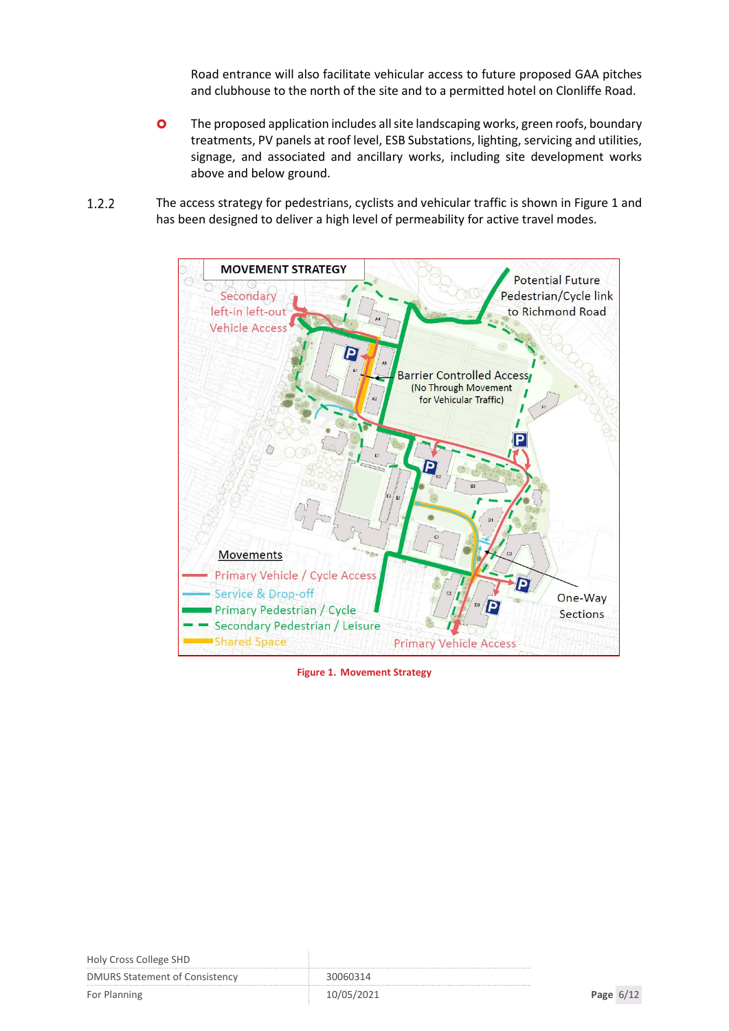Road entrance will also facilitate vehicular access to future proposed GAA pitches and clubhouse to the north of the site and to a permitted hotel on Clonliffe Road.

- **O** The proposed application includes all site landscaping works, green roofs, boundary treatments, PV panels at roof level, ESB Substations, lighting, servicing and utilities, signage, and associated and ancillary works, including site development works above and below ground.
- $1.2.2$ The access strategy for pedestrians, cyclists and vehicular traffic is shown in Figure 1 and has been designed to deliver a high level of permeability for active travel modes.



<span id="page-5-0"></span>**Figure 1. Movement Strategy**

| Holy Cross College SHD                |            |             |
|---------------------------------------|------------|-------------|
| <b>DMURS Statement of Consistency</b> | 30060314   |             |
| For Planning                          | 10/05/2021 | Page $6/12$ |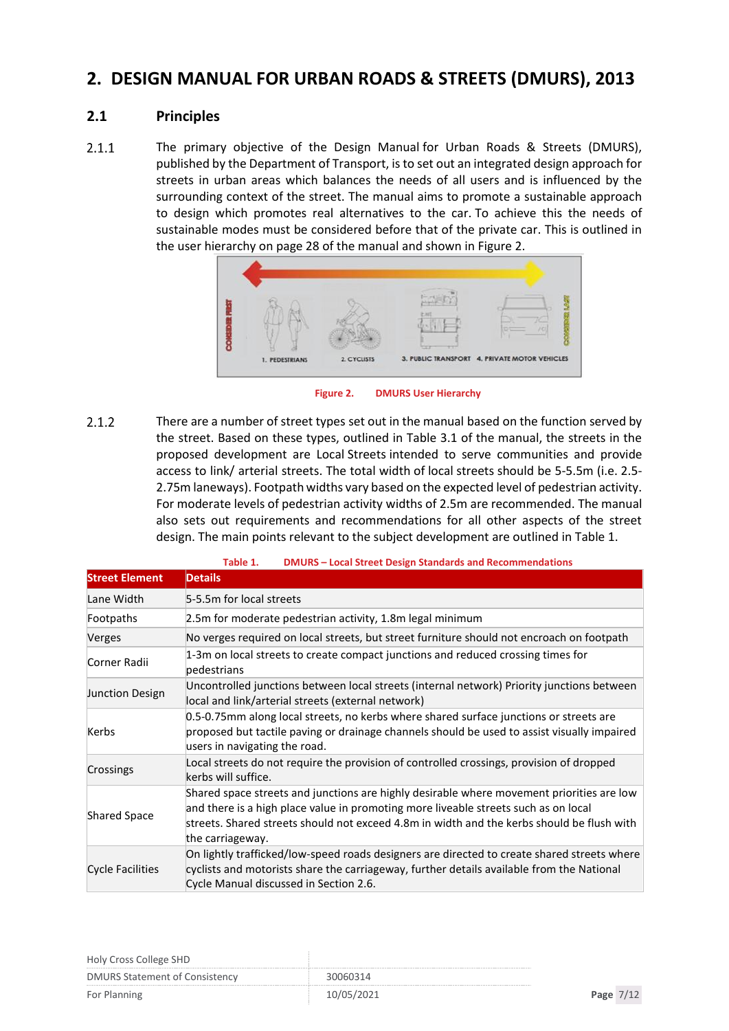### <span id="page-6-0"></span>**2. DESIGN MANUAL FOR URBAN ROADS & STREETS (DMURS), 2013**

#### <span id="page-6-1"></span>**2.1 Principles**

 $2.1.1$ The primary objective of the Design Manual for Urban Roads & Streets (DMURS), published by the Department of Transport, is to set out an integrated design approach for streets in urban areas which balances the needs of all users and is influenced by the surrounding context of the street. The manual aims to promote a sustainable approach to design which promotes real alternatives to the car. To achieve this the needs of sustainable modes must be considered before that of the private car. This is outlined in the user hierarchy on page 28 of the manual and shown in Figure 2.



**Figure 2. DMURS User Hierarchy**

<span id="page-6-2"></span> $2.1.2$ There are a number of street types set out in the manual based on the function served by the street. Based on these types, outlined in Table 3.1 of the manual, the streets in the proposed development are Local Streets intended to serve communities and provide access to link/ arterial streets. The total width of local streets should be 5-5.5m (i.e. 2.5- 2.75m laneways). Footpath widths vary based on the expected level of pedestrian activity. For moderate levels of pedestrian activity widths of 2.5m are recommended. The manual also sets out requirements and recommendations for all other aspects of the street design. The main points relevant to the subject development are outlined in Table 1.

<span id="page-6-3"></span>

|                         | phrono - Eocal Street Design Standards and necommendations                                                                                                                                                                                                                                         |  |  |  |  |
|-------------------------|----------------------------------------------------------------------------------------------------------------------------------------------------------------------------------------------------------------------------------------------------------------------------------------------------|--|--|--|--|
| <b>Street Element</b>   | <b>Details</b>                                                                                                                                                                                                                                                                                     |  |  |  |  |
| Lane Width              | 5-5.5m for local streets                                                                                                                                                                                                                                                                           |  |  |  |  |
| Footpaths               | 2.5m for moderate pedestrian activity, 1.8m legal minimum                                                                                                                                                                                                                                          |  |  |  |  |
| Verges                  | No verges required on local streets, but street furniture should not encroach on footpath                                                                                                                                                                                                          |  |  |  |  |
| Corner Radii            | 1-3m on local streets to create compact junctions and reduced crossing times for<br>pedestrians                                                                                                                                                                                                    |  |  |  |  |
| Junction Design         | Uncontrolled junctions between local streets (internal network) Priority junctions between<br>local and link/arterial streets (external network)                                                                                                                                                   |  |  |  |  |
| Kerbs                   | 0.5-0.75mm along local streets, no kerbs where shared surface junctions or streets are<br>proposed but tactile paving or drainage channels should be used to assist visually impaired<br>users in navigating the road.                                                                             |  |  |  |  |
| Crossings               | Local streets do not require the provision of controlled crossings, provision of dropped<br>kerbs will suffice.                                                                                                                                                                                    |  |  |  |  |
| <b>Shared Space</b>     | Shared space streets and junctions are highly desirable where movement priorities are low<br>and there is a high place value in promoting more liveable streets such as on local<br>streets. Shared streets should not exceed 4.8m in width and the kerbs should be flush with<br>the carriageway. |  |  |  |  |
| <b>Cycle Facilities</b> | On lightly trafficked/low-speed roads designers are directed to create shared streets where<br>cyclists and motorists share the carriageway, further details available from the National<br>Cycle Manual discussed in Section 2.6.                                                                 |  |  |  |  |

| Table 1. | <b>DMURS - Local Street Design Standards and Recommendations</b> |
|----------|------------------------------------------------------------------|
|          |                                                                  |

| Holy Cross College SHD                |            |             |  |
|---------------------------------------|------------|-------------|--|
| <b>DMURS Statement of Consistency</b> | 30060314   |             |  |
| For Planning                          | 10/05/2021 | Page $7/12$ |  |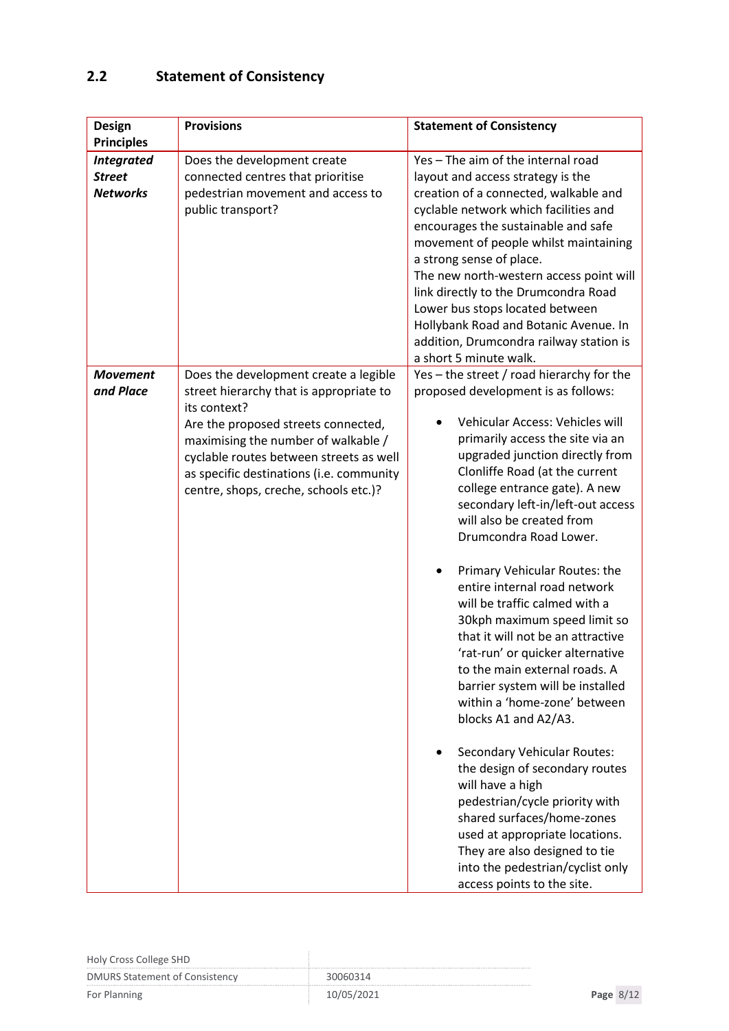# <span id="page-7-0"></span>**2.2 Statement of Consistency**

| <b>Design</b><br><b>Principles</b>                    | <b>Provisions</b>                                                                                                                                                                                                                                                                                              | <b>Statement of Consistency</b>                                                                                                                                                                                                                                                                                                                                                                                                                                                                                                                                                                                                                                                                                                                                                                                                                                                                                                                                                                    |
|-------------------------------------------------------|----------------------------------------------------------------------------------------------------------------------------------------------------------------------------------------------------------------------------------------------------------------------------------------------------------------|----------------------------------------------------------------------------------------------------------------------------------------------------------------------------------------------------------------------------------------------------------------------------------------------------------------------------------------------------------------------------------------------------------------------------------------------------------------------------------------------------------------------------------------------------------------------------------------------------------------------------------------------------------------------------------------------------------------------------------------------------------------------------------------------------------------------------------------------------------------------------------------------------------------------------------------------------------------------------------------------------|
| <b>Integrated</b><br><b>Street</b><br><b>Networks</b> | Does the development create<br>connected centres that prioritise<br>pedestrian movement and access to<br>public transport?                                                                                                                                                                                     | Yes - The aim of the internal road<br>layout and access strategy is the<br>creation of a connected, walkable and<br>cyclable network which facilities and<br>encourages the sustainable and safe<br>movement of people whilst maintaining<br>a strong sense of place.<br>The new north-western access point will<br>link directly to the Drumcondra Road<br>Lower bus stops located between<br>Hollybank Road and Botanic Avenue. In<br>addition, Drumcondra railway station is<br>a short 5 minute walk.                                                                                                                                                                                                                                                                                                                                                                                                                                                                                          |
| <b>Movement</b><br>and Place                          | Does the development create a legible<br>street hierarchy that is appropriate to<br>its context?<br>Are the proposed streets connected,<br>maximising the number of walkable /<br>cyclable routes between streets as well<br>as specific destinations (i.e. community<br>centre, shops, creche, schools etc.)? | Yes - the street / road hierarchy for the<br>proposed development is as follows:<br>Vehicular Access: Vehicles will<br>primarily access the site via an<br>upgraded junction directly from<br>Clonliffe Road (at the current<br>college entrance gate). A new<br>secondary left-in/left-out access<br>will also be created from<br>Drumcondra Road Lower.<br>Primary Vehicular Routes: the<br>entire internal road network<br>will be traffic calmed with a<br>30kph maximum speed limit so<br>that it will not be an attractive<br>'rat-run' or quicker alternative<br>to the main external roads. A<br>barrier system will be installed<br>within a 'home-zone' between<br>blocks A1 and A2/A3.<br><b>Secondary Vehicular Routes:</b><br>the design of secondary routes<br>will have a high<br>pedestrian/cycle priority with<br>shared surfaces/home-zones<br>used at appropriate locations.<br>They are also designed to tie<br>into the pedestrian/cyclist only<br>access points to the site. |

| Holy Cross College SHD                |  |           |  |
|---------------------------------------|--|-----------|--|
| <b>DMURS Statement of Consistency</b> |  |           |  |
| For Planning                          |  | Page 8/12 |  |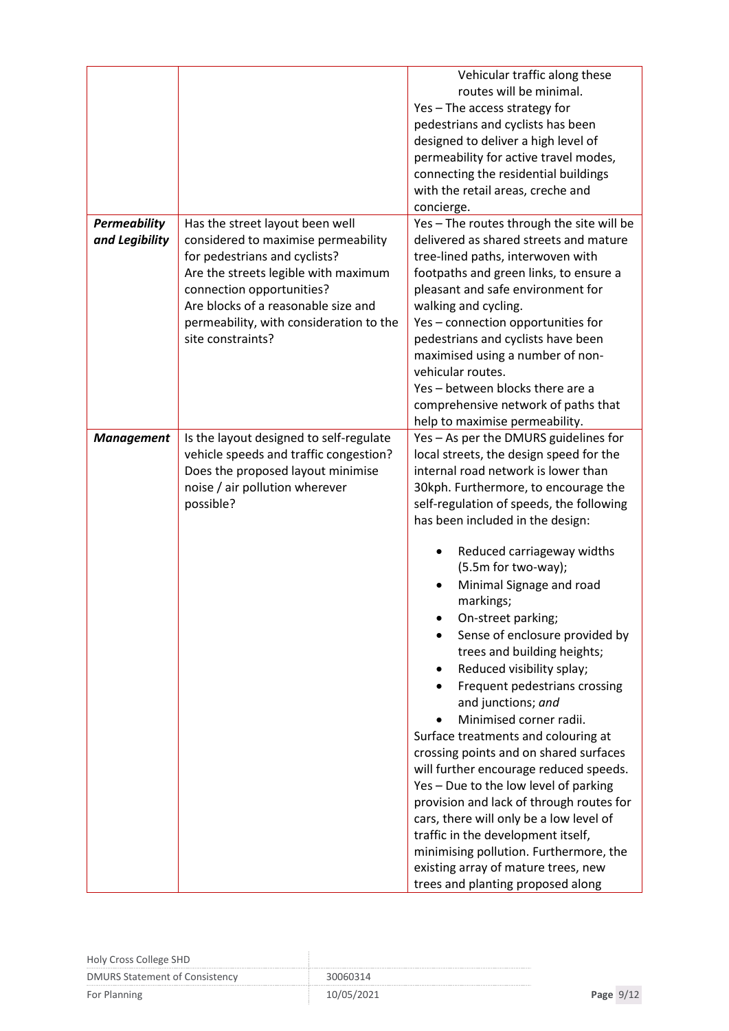| Vehicular traffic along these<br>routes will be minimal.<br>Yes - The access strategy for<br>pedestrians and cyclists has been<br>designed to deliver a high level of<br>permeability for active travel modes,<br>connecting the residential buildings<br>with the retail areas, creche and<br>concierge.<br><b>Permeability</b><br>Yes - The routes through the site will be<br>Has the street layout been well<br>delivered as shared streets and mature<br>and Legibility<br>considered to maximise permeability<br>for pedestrians and cyclists?<br>tree-lined paths, interwoven with<br>Are the streets legible with maximum<br>footpaths and green links, to ensure a<br>connection opportunities?<br>pleasant and safe environment for<br>Are blocks of a reasonable size and<br>walking and cycling.<br>permeability, with consideration to the<br>Yes - connection opportunities for<br>site constraints?<br>pedestrians and cyclists have been<br>maximised using a number of non-<br>vehicular routes.<br>Yes - between blocks there are a<br>comprehensive network of paths that<br>help to maximise permeability.<br>Is the layout designed to self-regulate<br>Yes - As per the DMURS guidelines for<br><b>Management</b><br>vehicle speeds and traffic congestion?<br>local streets, the design speed for the<br>Does the proposed layout minimise<br>internal road network is lower than<br>noise / air pollution wherever<br>30kph. Furthermore, to encourage the<br>possible?<br>self-regulation of speeds, the following<br>has been included in the design:<br>Reduced carriageway widths<br>(5.5m for two-way);<br>Minimal Signage and road<br>markings;<br>On-street parking;<br>Sense of enclosure provided by<br>trees and building heights;<br>Reduced visibility splay;<br>Frequent pedestrians crossing<br>and junctions; and<br>Minimised corner radii.<br>Surface treatments and colouring at<br>crossing points and on shared surfaces<br>will further encourage reduced speeds.<br>Yes - Due to the low level of parking<br>provision and lack of through routes for<br>cars, there will only be a low level of<br>traffic in the development itself,<br>minimising pollution. Furthermore, the<br>existing array of mature trees, new |  |                                   |
|-----------------------------------------------------------------------------------------------------------------------------------------------------------------------------------------------------------------------------------------------------------------------------------------------------------------------------------------------------------------------------------------------------------------------------------------------------------------------------------------------------------------------------------------------------------------------------------------------------------------------------------------------------------------------------------------------------------------------------------------------------------------------------------------------------------------------------------------------------------------------------------------------------------------------------------------------------------------------------------------------------------------------------------------------------------------------------------------------------------------------------------------------------------------------------------------------------------------------------------------------------------------------------------------------------------------------------------------------------------------------------------------------------------------------------------------------------------------------------------------------------------------------------------------------------------------------------------------------------------------------------------------------------------------------------------------------------------------------------------------------------------------------------------------------------------------------------------------------------------------------------------------------------------------------------------------------------------------------------------------------------------------------------------------------------------------------------------------------------------------------------------------------------------------------------------------------------------------------------------------------------------------------|--|-----------------------------------|
|                                                                                                                                                                                                                                                                                                                                                                                                                                                                                                                                                                                                                                                                                                                                                                                                                                                                                                                                                                                                                                                                                                                                                                                                                                                                                                                                                                                                                                                                                                                                                                                                                                                                                                                                                                                                                                                                                                                                                                                                                                                                                                                                                                                                                                                                       |  |                                   |
|                                                                                                                                                                                                                                                                                                                                                                                                                                                                                                                                                                                                                                                                                                                                                                                                                                                                                                                                                                                                                                                                                                                                                                                                                                                                                                                                                                                                                                                                                                                                                                                                                                                                                                                                                                                                                                                                                                                                                                                                                                                                                                                                                                                                                                                                       |  |                                   |
|                                                                                                                                                                                                                                                                                                                                                                                                                                                                                                                                                                                                                                                                                                                                                                                                                                                                                                                                                                                                                                                                                                                                                                                                                                                                                                                                                                                                                                                                                                                                                                                                                                                                                                                                                                                                                                                                                                                                                                                                                                                                                                                                                                                                                                                                       |  |                                   |
|                                                                                                                                                                                                                                                                                                                                                                                                                                                                                                                                                                                                                                                                                                                                                                                                                                                                                                                                                                                                                                                                                                                                                                                                                                                                                                                                                                                                                                                                                                                                                                                                                                                                                                                                                                                                                                                                                                                                                                                                                                                                                                                                                                                                                                                                       |  |                                   |
|                                                                                                                                                                                                                                                                                                                                                                                                                                                                                                                                                                                                                                                                                                                                                                                                                                                                                                                                                                                                                                                                                                                                                                                                                                                                                                                                                                                                                                                                                                                                                                                                                                                                                                                                                                                                                                                                                                                                                                                                                                                                                                                                                                                                                                                                       |  |                                   |
|                                                                                                                                                                                                                                                                                                                                                                                                                                                                                                                                                                                                                                                                                                                                                                                                                                                                                                                                                                                                                                                                                                                                                                                                                                                                                                                                                                                                                                                                                                                                                                                                                                                                                                                                                                                                                                                                                                                                                                                                                                                                                                                                                                                                                                                                       |  |                                   |
|                                                                                                                                                                                                                                                                                                                                                                                                                                                                                                                                                                                                                                                                                                                                                                                                                                                                                                                                                                                                                                                                                                                                                                                                                                                                                                                                                                                                                                                                                                                                                                                                                                                                                                                                                                                                                                                                                                                                                                                                                                                                                                                                                                                                                                                                       |  |                                   |
|                                                                                                                                                                                                                                                                                                                                                                                                                                                                                                                                                                                                                                                                                                                                                                                                                                                                                                                                                                                                                                                                                                                                                                                                                                                                                                                                                                                                                                                                                                                                                                                                                                                                                                                                                                                                                                                                                                                                                                                                                                                                                                                                                                                                                                                                       |  |                                   |
|                                                                                                                                                                                                                                                                                                                                                                                                                                                                                                                                                                                                                                                                                                                                                                                                                                                                                                                                                                                                                                                                                                                                                                                                                                                                                                                                                                                                                                                                                                                                                                                                                                                                                                                                                                                                                                                                                                                                                                                                                                                                                                                                                                                                                                                                       |  |                                   |
|                                                                                                                                                                                                                                                                                                                                                                                                                                                                                                                                                                                                                                                                                                                                                                                                                                                                                                                                                                                                                                                                                                                                                                                                                                                                                                                                                                                                                                                                                                                                                                                                                                                                                                                                                                                                                                                                                                                                                                                                                                                                                                                                                                                                                                                                       |  |                                   |
|                                                                                                                                                                                                                                                                                                                                                                                                                                                                                                                                                                                                                                                                                                                                                                                                                                                                                                                                                                                                                                                                                                                                                                                                                                                                                                                                                                                                                                                                                                                                                                                                                                                                                                                                                                                                                                                                                                                                                                                                                                                                                                                                                                                                                                                                       |  |                                   |
|                                                                                                                                                                                                                                                                                                                                                                                                                                                                                                                                                                                                                                                                                                                                                                                                                                                                                                                                                                                                                                                                                                                                                                                                                                                                                                                                                                                                                                                                                                                                                                                                                                                                                                                                                                                                                                                                                                                                                                                                                                                                                                                                                                                                                                                                       |  |                                   |
|                                                                                                                                                                                                                                                                                                                                                                                                                                                                                                                                                                                                                                                                                                                                                                                                                                                                                                                                                                                                                                                                                                                                                                                                                                                                                                                                                                                                                                                                                                                                                                                                                                                                                                                                                                                                                                                                                                                                                                                                                                                                                                                                                                                                                                                                       |  |                                   |
|                                                                                                                                                                                                                                                                                                                                                                                                                                                                                                                                                                                                                                                                                                                                                                                                                                                                                                                                                                                                                                                                                                                                                                                                                                                                                                                                                                                                                                                                                                                                                                                                                                                                                                                                                                                                                                                                                                                                                                                                                                                                                                                                                                                                                                                                       |  |                                   |
|                                                                                                                                                                                                                                                                                                                                                                                                                                                                                                                                                                                                                                                                                                                                                                                                                                                                                                                                                                                                                                                                                                                                                                                                                                                                                                                                                                                                                                                                                                                                                                                                                                                                                                                                                                                                                                                                                                                                                                                                                                                                                                                                                                                                                                                                       |  |                                   |
|                                                                                                                                                                                                                                                                                                                                                                                                                                                                                                                                                                                                                                                                                                                                                                                                                                                                                                                                                                                                                                                                                                                                                                                                                                                                                                                                                                                                                                                                                                                                                                                                                                                                                                                                                                                                                                                                                                                                                                                                                                                                                                                                                                                                                                                                       |  |                                   |
|                                                                                                                                                                                                                                                                                                                                                                                                                                                                                                                                                                                                                                                                                                                                                                                                                                                                                                                                                                                                                                                                                                                                                                                                                                                                                                                                                                                                                                                                                                                                                                                                                                                                                                                                                                                                                                                                                                                                                                                                                                                                                                                                                                                                                                                                       |  |                                   |
|                                                                                                                                                                                                                                                                                                                                                                                                                                                                                                                                                                                                                                                                                                                                                                                                                                                                                                                                                                                                                                                                                                                                                                                                                                                                                                                                                                                                                                                                                                                                                                                                                                                                                                                                                                                                                                                                                                                                                                                                                                                                                                                                                                                                                                                                       |  |                                   |
|                                                                                                                                                                                                                                                                                                                                                                                                                                                                                                                                                                                                                                                                                                                                                                                                                                                                                                                                                                                                                                                                                                                                                                                                                                                                                                                                                                                                                                                                                                                                                                                                                                                                                                                                                                                                                                                                                                                                                                                                                                                                                                                                                                                                                                                                       |  |                                   |
|                                                                                                                                                                                                                                                                                                                                                                                                                                                                                                                                                                                                                                                                                                                                                                                                                                                                                                                                                                                                                                                                                                                                                                                                                                                                                                                                                                                                                                                                                                                                                                                                                                                                                                                                                                                                                                                                                                                                                                                                                                                                                                                                                                                                                                                                       |  |                                   |
|                                                                                                                                                                                                                                                                                                                                                                                                                                                                                                                                                                                                                                                                                                                                                                                                                                                                                                                                                                                                                                                                                                                                                                                                                                                                                                                                                                                                                                                                                                                                                                                                                                                                                                                                                                                                                                                                                                                                                                                                                                                                                                                                                                                                                                                                       |  |                                   |
|                                                                                                                                                                                                                                                                                                                                                                                                                                                                                                                                                                                                                                                                                                                                                                                                                                                                                                                                                                                                                                                                                                                                                                                                                                                                                                                                                                                                                                                                                                                                                                                                                                                                                                                                                                                                                                                                                                                                                                                                                                                                                                                                                                                                                                                                       |  |                                   |
|                                                                                                                                                                                                                                                                                                                                                                                                                                                                                                                                                                                                                                                                                                                                                                                                                                                                                                                                                                                                                                                                                                                                                                                                                                                                                                                                                                                                                                                                                                                                                                                                                                                                                                                                                                                                                                                                                                                                                                                                                                                                                                                                                                                                                                                                       |  |                                   |
|                                                                                                                                                                                                                                                                                                                                                                                                                                                                                                                                                                                                                                                                                                                                                                                                                                                                                                                                                                                                                                                                                                                                                                                                                                                                                                                                                                                                                                                                                                                                                                                                                                                                                                                                                                                                                                                                                                                                                                                                                                                                                                                                                                                                                                                                       |  |                                   |
|                                                                                                                                                                                                                                                                                                                                                                                                                                                                                                                                                                                                                                                                                                                                                                                                                                                                                                                                                                                                                                                                                                                                                                                                                                                                                                                                                                                                                                                                                                                                                                                                                                                                                                                                                                                                                                                                                                                                                                                                                                                                                                                                                                                                                                                                       |  |                                   |
|                                                                                                                                                                                                                                                                                                                                                                                                                                                                                                                                                                                                                                                                                                                                                                                                                                                                                                                                                                                                                                                                                                                                                                                                                                                                                                                                                                                                                                                                                                                                                                                                                                                                                                                                                                                                                                                                                                                                                                                                                                                                                                                                                                                                                                                                       |  |                                   |
|                                                                                                                                                                                                                                                                                                                                                                                                                                                                                                                                                                                                                                                                                                                                                                                                                                                                                                                                                                                                                                                                                                                                                                                                                                                                                                                                                                                                                                                                                                                                                                                                                                                                                                                                                                                                                                                                                                                                                                                                                                                                                                                                                                                                                                                                       |  |                                   |
|                                                                                                                                                                                                                                                                                                                                                                                                                                                                                                                                                                                                                                                                                                                                                                                                                                                                                                                                                                                                                                                                                                                                                                                                                                                                                                                                                                                                                                                                                                                                                                                                                                                                                                                                                                                                                                                                                                                                                                                                                                                                                                                                                                                                                                                                       |  |                                   |
|                                                                                                                                                                                                                                                                                                                                                                                                                                                                                                                                                                                                                                                                                                                                                                                                                                                                                                                                                                                                                                                                                                                                                                                                                                                                                                                                                                                                                                                                                                                                                                                                                                                                                                                                                                                                                                                                                                                                                                                                                                                                                                                                                                                                                                                                       |  |                                   |
|                                                                                                                                                                                                                                                                                                                                                                                                                                                                                                                                                                                                                                                                                                                                                                                                                                                                                                                                                                                                                                                                                                                                                                                                                                                                                                                                                                                                                                                                                                                                                                                                                                                                                                                                                                                                                                                                                                                                                                                                                                                                                                                                                                                                                                                                       |  |                                   |
|                                                                                                                                                                                                                                                                                                                                                                                                                                                                                                                                                                                                                                                                                                                                                                                                                                                                                                                                                                                                                                                                                                                                                                                                                                                                                                                                                                                                                                                                                                                                                                                                                                                                                                                                                                                                                                                                                                                                                                                                                                                                                                                                                                                                                                                                       |  |                                   |
|                                                                                                                                                                                                                                                                                                                                                                                                                                                                                                                                                                                                                                                                                                                                                                                                                                                                                                                                                                                                                                                                                                                                                                                                                                                                                                                                                                                                                                                                                                                                                                                                                                                                                                                                                                                                                                                                                                                                                                                                                                                                                                                                                                                                                                                                       |  |                                   |
|                                                                                                                                                                                                                                                                                                                                                                                                                                                                                                                                                                                                                                                                                                                                                                                                                                                                                                                                                                                                                                                                                                                                                                                                                                                                                                                                                                                                                                                                                                                                                                                                                                                                                                                                                                                                                                                                                                                                                                                                                                                                                                                                                                                                                                                                       |  |                                   |
|                                                                                                                                                                                                                                                                                                                                                                                                                                                                                                                                                                                                                                                                                                                                                                                                                                                                                                                                                                                                                                                                                                                                                                                                                                                                                                                                                                                                                                                                                                                                                                                                                                                                                                                                                                                                                                                                                                                                                                                                                                                                                                                                                                                                                                                                       |  |                                   |
|                                                                                                                                                                                                                                                                                                                                                                                                                                                                                                                                                                                                                                                                                                                                                                                                                                                                                                                                                                                                                                                                                                                                                                                                                                                                                                                                                                                                                                                                                                                                                                                                                                                                                                                                                                                                                                                                                                                                                                                                                                                                                                                                                                                                                                                                       |  |                                   |
|                                                                                                                                                                                                                                                                                                                                                                                                                                                                                                                                                                                                                                                                                                                                                                                                                                                                                                                                                                                                                                                                                                                                                                                                                                                                                                                                                                                                                                                                                                                                                                                                                                                                                                                                                                                                                                                                                                                                                                                                                                                                                                                                                                                                                                                                       |  |                                   |
|                                                                                                                                                                                                                                                                                                                                                                                                                                                                                                                                                                                                                                                                                                                                                                                                                                                                                                                                                                                                                                                                                                                                                                                                                                                                                                                                                                                                                                                                                                                                                                                                                                                                                                                                                                                                                                                                                                                                                                                                                                                                                                                                                                                                                                                                       |  |                                   |
|                                                                                                                                                                                                                                                                                                                                                                                                                                                                                                                                                                                                                                                                                                                                                                                                                                                                                                                                                                                                                                                                                                                                                                                                                                                                                                                                                                                                                                                                                                                                                                                                                                                                                                                                                                                                                                                                                                                                                                                                                                                                                                                                                                                                                                                                       |  |                                   |
|                                                                                                                                                                                                                                                                                                                                                                                                                                                                                                                                                                                                                                                                                                                                                                                                                                                                                                                                                                                                                                                                                                                                                                                                                                                                                                                                                                                                                                                                                                                                                                                                                                                                                                                                                                                                                                                                                                                                                                                                                                                                                                                                                                                                                                                                       |  |                                   |
|                                                                                                                                                                                                                                                                                                                                                                                                                                                                                                                                                                                                                                                                                                                                                                                                                                                                                                                                                                                                                                                                                                                                                                                                                                                                                                                                                                                                                                                                                                                                                                                                                                                                                                                                                                                                                                                                                                                                                                                                                                                                                                                                                                                                                                                                       |  |                                   |
|                                                                                                                                                                                                                                                                                                                                                                                                                                                                                                                                                                                                                                                                                                                                                                                                                                                                                                                                                                                                                                                                                                                                                                                                                                                                                                                                                                                                                                                                                                                                                                                                                                                                                                                                                                                                                                                                                                                                                                                                                                                                                                                                                                                                                                                                       |  |                                   |
|                                                                                                                                                                                                                                                                                                                                                                                                                                                                                                                                                                                                                                                                                                                                                                                                                                                                                                                                                                                                                                                                                                                                                                                                                                                                                                                                                                                                                                                                                                                                                                                                                                                                                                                                                                                                                                                                                                                                                                                                                                                                                                                                                                                                                                                                       |  |                                   |
|                                                                                                                                                                                                                                                                                                                                                                                                                                                                                                                                                                                                                                                                                                                                                                                                                                                                                                                                                                                                                                                                                                                                                                                                                                                                                                                                                                                                                                                                                                                                                                                                                                                                                                                                                                                                                                                                                                                                                                                                                                                                                                                                                                                                                                                                       |  |                                   |
|                                                                                                                                                                                                                                                                                                                                                                                                                                                                                                                                                                                                                                                                                                                                                                                                                                                                                                                                                                                                                                                                                                                                                                                                                                                                                                                                                                                                                                                                                                                                                                                                                                                                                                                                                                                                                                                                                                                                                                                                                                                                                                                                                                                                                                                                       |  |                                   |
|                                                                                                                                                                                                                                                                                                                                                                                                                                                                                                                                                                                                                                                                                                                                                                                                                                                                                                                                                                                                                                                                                                                                                                                                                                                                                                                                                                                                                                                                                                                                                                                                                                                                                                                                                                                                                                                                                                                                                                                                                                                                                                                                                                                                                                                                       |  |                                   |
|                                                                                                                                                                                                                                                                                                                                                                                                                                                                                                                                                                                                                                                                                                                                                                                                                                                                                                                                                                                                                                                                                                                                                                                                                                                                                                                                                                                                                                                                                                                                                                                                                                                                                                                                                                                                                                                                                                                                                                                                                                                                                                                                                                                                                                                                       |  |                                   |
|                                                                                                                                                                                                                                                                                                                                                                                                                                                                                                                                                                                                                                                                                                                                                                                                                                                                                                                                                                                                                                                                                                                                                                                                                                                                                                                                                                                                                                                                                                                                                                                                                                                                                                                                                                                                                                                                                                                                                                                                                                                                                                                                                                                                                                                                       |  | trees and planting proposed along |

| Holy Cross College SHD                |            |             |  |
|---------------------------------------|------------|-------------|--|
| <b>DMURS Statement of Consistency</b> | 30060314   |             |  |
| For Planning                          | 10/05/2021 | Page $9/12$ |  |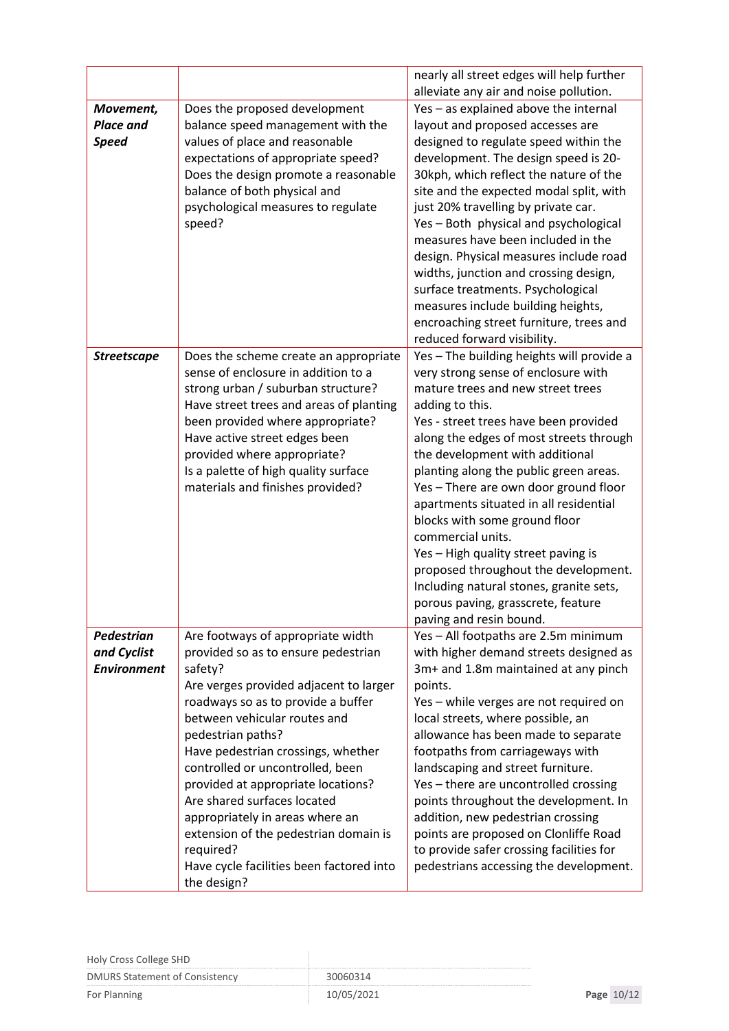|                               |                                                                              | nearly all street edges will help further                                       |
|-------------------------------|------------------------------------------------------------------------------|---------------------------------------------------------------------------------|
|                               | Does the proposed development                                                | alleviate any air and noise pollution.<br>Yes - as explained above the internal |
| Movement,<br><b>Place and</b> |                                                                              | layout and proposed accesses are                                                |
| <b>Speed</b>                  | balance speed management with the<br>values of place and reasonable          | designed to regulate speed within the                                           |
|                               | expectations of appropriate speed?                                           | development. The design speed is 20-                                            |
|                               | Does the design promote a reasonable                                         | 30kph, which reflect the nature of the                                          |
|                               | balance of both physical and                                                 | site and the expected modal split, with                                         |
|                               | psychological measures to regulate                                           | just 20% travelling by private car.                                             |
|                               | speed?                                                                       | Yes - Both physical and psychological                                           |
|                               |                                                                              | measures have been included in the                                              |
|                               |                                                                              | design. Physical measures include road                                          |
|                               |                                                                              | widths, junction and crossing design,                                           |
|                               |                                                                              | surface treatments. Psychological                                               |
|                               |                                                                              | measures include building heights,                                              |
|                               |                                                                              | encroaching street furniture, trees and                                         |
|                               |                                                                              | reduced forward visibility.                                                     |
| <b>Streetscape</b>            | Does the scheme create an appropriate                                        | Yes - The building heights will provide a                                       |
|                               | sense of enclosure in addition to a                                          | very strong sense of enclosure with                                             |
|                               | strong urban / suburban structure?                                           | mature trees and new street trees                                               |
|                               | Have street trees and areas of planting                                      | adding to this.                                                                 |
|                               | been provided where appropriate?                                             | Yes - street trees have been provided                                           |
|                               | Have active street edges been                                                | along the edges of most streets through                                         |
|                               | provided where appropriate?                                                  | the development with additional                                                 |
|                               | Is a palette of high quality surface                                         | planting along the public green areas.                                          |
|                               | materials and finishes provided?                                             | Yes - There are own door ground floor                                           |
|                               |                                                                              | apartments situated in all residential                                          |
|                               |                                                                              | blocks with some ground floor                                                   |
|                               |                                                                              | commercial units.                                                               |
|                               |                                                                              | Yes - High quality street paving is                                             |
|                               |                                                                              | proposed throughout the development.                                            |
|                               |                                                                              | Including natural stones, granite sets,                                         |
|                               |                                                                              | porous paving, grasscrete, feature                                              |
|                               |                                                                              | paving and resin bound.                                                         |
| Pedestrian                    | Are footways of appropriate width                                            | Yes - All footpaths are 2.5m minimum                                            |
| and Cyclist                   | provided so as to ensure pedestrian                                          | with higher demand streets designed as                                          |
| <b>Environment</b>            | safety?                                                                      | 3m+ and 1.8m maintained at any pinch                                            |
|                               | Are verges provided adjacent to larger<br>roadways so as to provide a buffer | points.                                                                         |
|                               | between vehicular routes and                                                 | Yes - while verges are not required on<br>local streets, where possible, an     |
|                               | pedestrian paths?                                                            | allowance has been made to separate                                             |
|                               | Have pedestrian crossings, whether                                           | footpaths from carriageways with                                                |
|                               | controlled or uncontrolled, been                                             | landscaping and street furniture.                                               |
|                               | provided at appropriate locations?                                           | Yes - there are uncontrolled crossing                                           |
|                               | Are shared surfaces located                                                  | points throughout the development. In                                           |
|                               | appropriately in areas where an                                              | addition, new pedestrian crossing                                               |
|                               | extension of the pedestrian domain is                                        | points are proposed on Clonliffe Road                                           |
|                               | required?                                                                    | to provide safer crossing facilities for                                        |
|                               | Have cycle facilities been factored into                                     | pedestrians accessing the development.                                          |
|                               | the design?                                                                  |                                                                                 |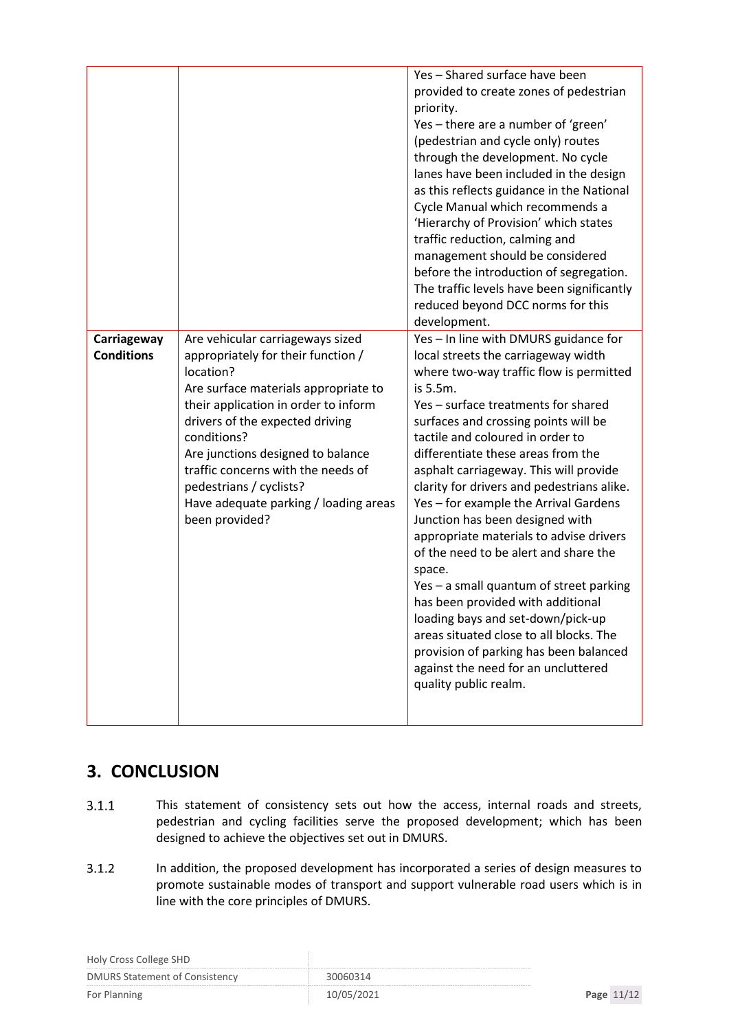|                                  |                                                                                                                                                                                                                                                                                                                                                                                        | Yes - Shared surface have been<br>provided to create zones of pedestrian<br>priority.<br>Yes - there are a number of 'green'<br>(pedestrian and cycle only) routes<br>through the development. No cycle<br>lanes have been included in the design<br>as this reflects guidance in the National<br>Cycle Manual which recommends a<br>'Hierarchy of Provision' which states<br>traffic reduction, calming and<br>management should be considered<br>before the introduction of segregation.<br>The traffic levels have been significantly<br>reduced beyond DCC norms for this<br>development.                                                                                                                                                                                                                                            |
|----------------------------------|----------------------------------------------------------------------------------------------------------------------------------------------------------------------------------------------------------------------------------------------------------------------------------------------------------------------------------------------------------------------------------------|------------------------------------------------------------------------------------------------------------------------------------------------------------------------------------------------------------------------------------------------------------------------------------------------------------------------------------------------------------------------------------------------------------------------------------------------------------------------------------------------------------------------------------------------------------------------------------------------------------------------------------------------------------------------------------------------------------------------------------------------------------------------------------------------------------------------------------------|
| Carriageway<br><b>Conditions</b> | Are vehicular carriageways sized<br>appropriately for their function /<br>location?<br>Are surface materials appropriate to<br>their application in order to inform<br>drivers of the expected driving<br>conditions?<br>Are junctions designed to balance<br>traffic concerns with the needs of<br>pedestrians / cyclists?<br>Have adequate parking / loading areas<br>been provided? | Yes - In line with DMURS guidance for<br>local streets the carriageway width<br>where two-way traffic flow is permitted<br>is 5.5m.<br>Yes - surface treatments for shared<br>surfaces and crossing points will be<br>tactile and coloured in order to<br>differentiate these areas from the<br>asphalt carriageway. This will provide<br>clarity for drivers and pedestrians alike.<br>Yes - for example the Arrival Gardens<br>Junction has been designed with<br>appropriate materials to advise drivers<br>of the need to be alert and share the<br>space.<br>Yes - a small quantum of street parking<br>has been provided with additional<br>loading bays and set-down/pick-up<br>areas situated close to all blocks. The<br>provision of parking has been balanced<br>against the need for an uncluttered<br>quality public realm. |

## <span id="page-10-0"></span>**3. CONCLUSION**

- $3.1.1$ This statement of consistency sets out how the access, internal roads and streets, pedestrian and cycling facilities serve the proposed development; which has been designed to achieve the objectives set out in DMURS.
- $3.1.2$ In addition, the proposed development has incorporated a series of design measures to promote sustainable modes of transport and support vulnerable road users which is in line with the core principles of DMURS.

| Holy Cross College SHD                |            |            |
|---------------------------------------|------------|------------|
| <b>DMURS Statement of Consistency</b> | 30060314   |            |
| For Planning                          | 10/05/2021 | Page 11/12 |